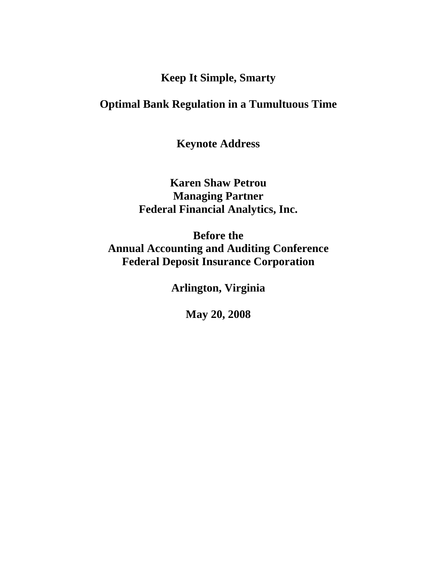**Keep It Simple, Smarty** 

## **Optimal Bank Regulation in a Tumultuous Time**

**Keynote Address** 

**Karen Shaw Petrou Managing Partner Federal Financial Analytics, Inc.** 

**Before the Annual Accounting and Auditing Conference Federal Deposit Insurance Corporation** 

**Arlington, Virginia** 

**May 20, 2008**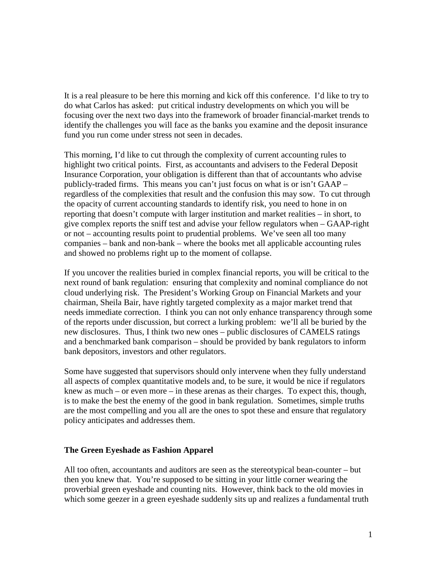It is a real pleasure to be here this morning and kick off this conference. I'd like to try to do what Carlos has asked: put critical industry developments on which you will be focusing over the next two days into the framework of broader financial-market trends to identify the challenges you will face as the banks you examine and the deposit insurance fund you run come under stress not seen in decades.

This morning, I'd like to cut through the complexity of current accounting rules to highlight two critical points. First, as accountants and advisers to the Federal Deposit Insurance Corporation, your obligation is different than that of accountants who advise publicly-traded firms. This means you can't just focus on what is or isn't GAAP – regardless of the complexities that result and the confusion this may sow. To cut through the opacity of current accounting standards to identify risk, you need to hone in on reporting that doesn't compute with larger institution and market realities – in short, to give complex reports the sniff test and advise your fellow regulators when – GAAP-right or not – accounting results point to prudential problems. We've seen all too many companies – bank and non-bank – where the books met all applicable accounting rules and showed no problems right up to the moment of collapse.

If you uncover the realities buried in complex financial reports, you will be critical to the next round of bank regulation: ensuring that complexity and nominal compliance do not cloud underlying risk. The President's Working Group on Financial Markets and your chairman, Sheila Bair, have rightly targeted complexity as a major market trend that needs immediate correction. I think you can not only enhance transparency through some of the reports under discussion, but correct a lurking problem: we'll all be buried by the new disclosures. Thus, I think two new ones – public disclosures of CAMELS ratings and a benchmarked bank comparison – should be provided by bank regulators to inform bank depositors, investors and other regulators.

Some have suggested that supervisors should only intervene when they fully understand all aspects of complex quantitative models and, to be sure, it would be nice if regulators knew as much – or even more – in these arenas as their charges. To expect this, though, is to make the best the enemy of the good in bank regulation. Sometimes, simple truths are the most compelling and you all are the ones to spot these and ensure that regulatory policy anticipates and addresses them.

## **The Green Eyeshade as Fashion Apparel**

All too often, accountants and auditors are seen as the stereotypical bean-counter – but then you knew that. You're supposed to be sitting in your little corner wearing the proverbial green eyeshade and counting nits. However, think back to the old movies in which some geezer in a green eyeshade suddenly sits up and realizes a fundamental truth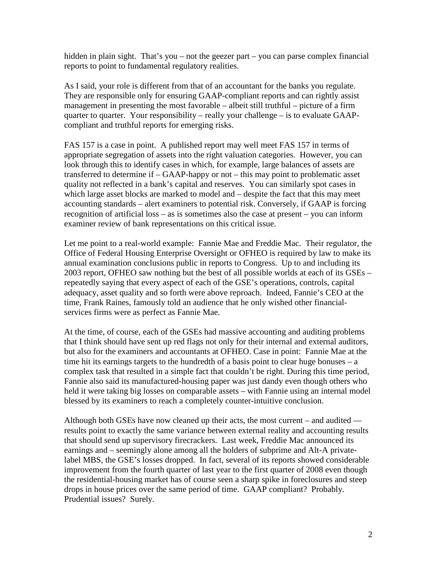hidden in plain sight. That's you – not the geezer part – you can parse complex financial reports to point to fundamental regulatory realities.

As I said, your role is different from that of an accountant for the banks you regulate. They are responsible only for ensuring GAAP-compliant reports and can rightly assist management in presenting the most favorable – albeit still truthful – picture of a firm quarter to quarter. Your responsibility – really your challenge – is to evaluate GAAPcompliant and truthful reports for emerging risks.

FAS 157 is a case in point. A published report may well meet FAS 157 in terms of appropriate segregation of assets into the right valuation categories. However, you can look through this to identify cases in which, for example, large balances of assets are transferred to determine if – GAAP-happy or not – this may point to problematic asset quality not reflected in a bank's capital and reserves. You can similarly spot cases in which large asset blocks are marked to model and – despite the fact that this may meet accounting standards – alert examiners to potential risk. Conversely, if GAAP is forcing recognition of artificial loss – as is sometimes also the case at present – you can inform examiner review of bank representations on this critical issue.

Let me point to a real-world example: Fannie Mae and Freddie Mac. Their regulator, the Office of Federal Housing Enterprise Oversight or OFHEO is required by law to make its annual examination conclusions public in reports to Congress. Up to and including its 2003 report, OFHEO saw nothing but the best of all possible worlds at each of its GSEs – repeatedly saying that every aspect of each of the GSE's operations, controls, capital adequacy, asset quality and so forth were above reproach. Indeed, Fannie's CEO at the time, Frank Raines, famously told an audience that he only wished other financialservices firms were as perfect as Fannie Mae.

At the time, of course, each of the GSEs had massive accounting and auditing problems that I think should have sent up red flags not only for their internal and external auditors, but also for the examiners and accountants at OFHEO. Case in point: Fannie Mae at the time hit its earnings targets to the hundredth of a basis point to clear huge bonuses – a complex task that resulted in a simple fact that couldn't be right. During this time period, Fannie also said its manufactured-housing paper was just dandy even though others who held it were taking big losses on comparable assets – with Fannie using an internal model blessed by its examiners to reach a completely counter-intuitive conclusion.

Although both GSEs have now cleaned up their acts, the most current – and audited results point to exactly the same variance between external reality and accounting results that should send up supervisory firecrackers. Last week, Freddie Mac announced its earnings and – seemingly alone among all the holders of subprime and Alt-A privatelabel MBS, the GSE's losses dropped. In fact, several of its reports showed considerable improvement from the fourth quarter of last year to the first quarter of 2008 even though the residential-housing market has of course seen a sharp spike in foreclosures and steep drops in house prices over the same period of time. GAAP compliant? Probably. Prudential issues? Surely.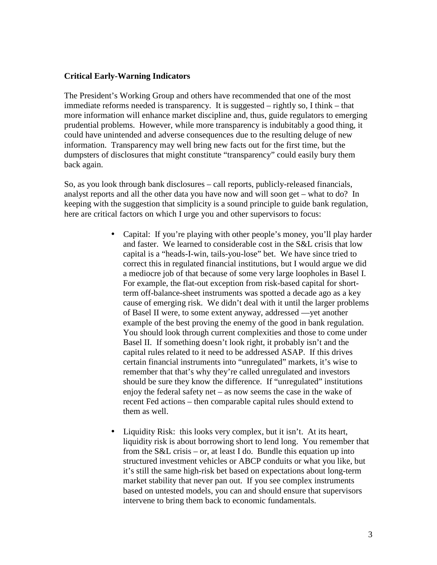## **Critical Early-Warning Indicators**

The President's Working Group and others have recommended that one of the most immediate reforms needed is transparency. It is suggested – rightly so, I think – that more information will enhance market discipline and, thus, guide regulators to emerging prudential problems. However, while more transparency is indubitably a good thing, it could have unintended and adverse consequences due to the resulting deluge of new information. Transparency may well bring new facts out for the first time, but the dumpsters of disclosures that might constitute "transparency" could easily bury them back again.

So, as you look through bank disclosures – call reports, publicly-released financials, analyst reports and all the other data you have now and will soon get – what to do? In keeping with the suggestion that simplicity is a sound principle to guide bank regulation, here are critical factors on which I urge you and other supervisors to focus:

- Capital: If you're playing with other people's money, you'll play harder and faster. We learned to considerable cost in the S&L crisis that low capital is a "heads-I-win, tails-you-lose" bet. We have since tried to correct this in regulated financial institutions, but I would argue we did a mediocre job of that because of some very large loopholes in Basel I. For example, the flat-out exception from risk-based capital for shortterm off-balance-sheet instruments was spotted a decade ago as a key cause of emerging risk. We didn't deal with it until the larger problems of Basel II were, to some extent anyway, addressed —yet another example of the best proving the enemy of the good in bank regulation. You should look through current complexities and those to come under Basel II. If something doesn't look right, it probably isn't and the capital rules related to it need to be addressed ASAP. If this drives certain financial instruments into "unregulated" markets, it's wise to remember that that's why they're called unregulated and investors should be sure they know the difference. If "unregulated" institutions enjoy the federal safety net – as now seems the case in the wake of recent Fed actions – then comparable capital rules should extend to them as well.
- Liquidity Risk: this looks very complex, but it isn't. At its heart, liquidity risk is about borrowing short to lend long. You remember that from the S&L crisis – or, at least I do. Bundle this equation up into structured investment vehicles or ABCP conduits or what you like, but it's still the same high-risk bet based on expectations about long-term market stability that never pan out. If you see complex instruments based on untested models, you can and should ensure that supervisors intervene to bring them back to economic fundamentals.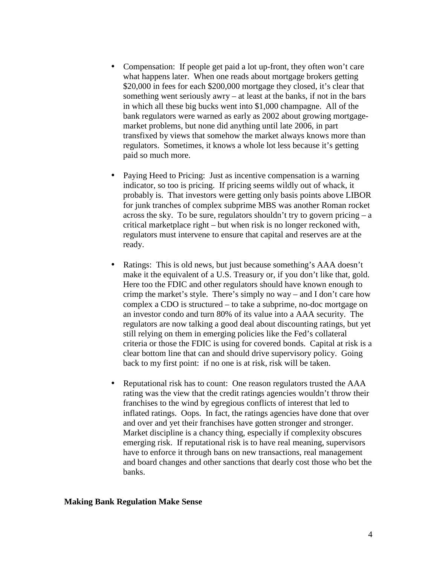- Compensation: If people get paid a lot up-front, they often won't care what happens later. When one reads about mortgage brokers getting \$20,000 in fees for each \$200,000 mortgage they closed, it's clear that something went seriously awry – at least at the banks, if not in the bars in which all these big bucks went into \$1,000 champagne. All of the bank regulators were warned as early as 2002 about growing mortgagemarket problems, but none did anything until late 2006, in part transfixed by views that somehow the market always knows more than regulators. Sometimes, it knows a whole lot less because it's getting paid so much more.
- Paying Heed to Pricing: Just as incentive compensation is a warning indicator, so too is pricing. If pricing seems wildly out of whack, it probably is. That investors were getting only basis points above LIBOR for junk tranches of complex subprime MBS was another Roman rocket across the sky. To be sure, regulators shouldn't try to govern pricing  $- a$ critical marketplace right – but when risk is no longer reckoned with, regulators must intervene to ensure that capital and reserves are at the ready.
- Ratings: This is old news, but just because something's AAA doesn't make it the equivalent of a U.S. Treasury or, if you don't like that, gold. Here too the FDIC and other regulators should have known enough to crimp the market's style. There's simply no way – and I don't care how complex a CDO is structured – to take a subprime, no-doc mortgage on an investor condo and turn 80% of its value into a AAA security. The regulators are now talking a good deal about discounting ratings, but yet still relying on them in emerging policies like the Fed's collateral criteria or those the FDIC is using for covered bonds. Capital at risk is a clear bottom line that can and should drive supervisory policy. Going back to my first point: if no one is at risk, risk will be taken.
- Reputational risk has to count: One reason regulators trusted the AAA rating was the view that the credit ratings agencies wouldn't throw their franchises to the wind by egregious conflicts of interest that led to inflated ratings. Oops. In fact, the ratings agencies have done that over and over and yet their franchises have gotten stronger and stronger. Market discipline is a chancy thing, especially if complexity obscures emerging risk. If reputational risk is to have real meaning, supervisors have to enforce it through bans on new transactions, real management and board changes and other sanctions that dearly cost those who bet the banks.

## **Making Bank Regulation Make Sense**